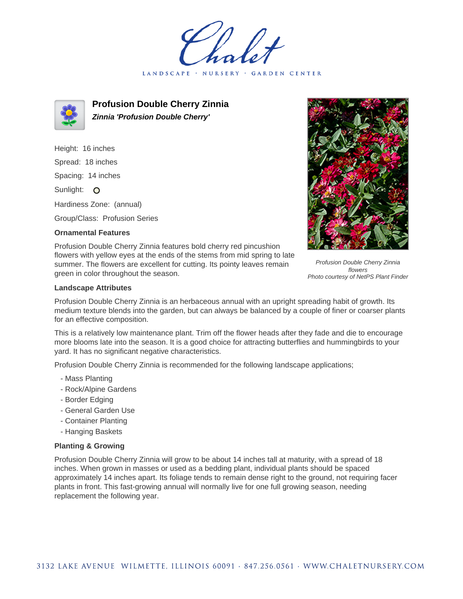LANDSCAPE · NURSERY · GARDEN CENTER



**Profusion Double Cherry Zinnia Zinnia 'Profusion Double Cherry'**

Height: 16 inches Spread: 18 inches Spacing: 14 inches Sunlight: O Hardiness Zone: (annual)

Group/Class: Profusion Series

## **Ornamental Features**

Profusion Double Cherry Zinnia features bold cherry red pincushion flowers with yellow eyes at the ends of the stems from mid spring to late summer. The flowers are excellent for cutting. Its pointy leaves remain green in color throughout the season.

Profusion Double Cherry Zinnia flowers Photo courtesy of NetPS Plant Finder

## **Landscape Attributes**

Profusion Double Cherry Zinnia is an herbaceous annual with an upright spreading habit of growth. Its medium texture blends into the garden, but can always be balanced by a couple of finer or coarser plants for an effective composition.

This is a relatively low maintenance plant. Trim off the flower heads after they fade and die to encourage more blooms late into the season. It is a good choice for attracting butterflies and hummingbirds to your yard. It has no significant negative characteristics.

Profusion Double Cherry Zinnia is recommended for the following landscape applications;

- Mass Planting
- Rock/Alpine Gardens
- Border Edging
- General Garden Use
- Container Planting
- Hanging Baskets

## **Planting & Growing**

Profusion Double Cherry Zinnia will grow to be about 14 inches tall at maturity, with a spread of 18 inches. When grown in masses or used as a bedding plant, individual plants should be spaced approximately 14 inches apart. Its foliage tends to remain dense right to the ground, not requiring facer plants in front. This fast-growing annual will normally live for one full growing season, needing replacement the following year.